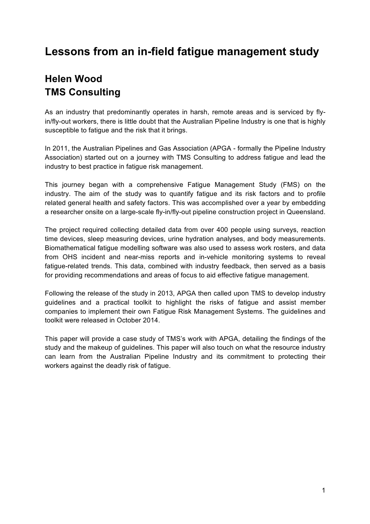# **Lessons from an in-field fatigue management study**

## **Helen Wood TMS Consulting**

As an industry that predominantly operates in harsh, remote areas and is serviced by flyin/fly-out workers, there is little doubt that the Australian Pipeline Industry is one that is highly susceptible to fatigue and the risk that it brings.

In 2011, the Australian Pipelines and Gas Association (APGA - formally the Pipeline Industry Association) started out on a journey with TMS Consulting to address fatigue and lead the industry to best practice in fatigue risk management.

This journey began with a comprehensive Fatigue Management Study (FMS) on the industry. The aim of the study was to quantify fatigue and its risk factors and to profile related general health and safety factors. This was accomplished over a year by embedding a researcher onsite on a large-scale fly-in/fly-out pipeline construction project in Queensland.

The project required collecting detailed data from over 400 people using surveys, reaction time devices, sleep measuring devices, urine hydration analyses, and body measurements. Biomathematical fatigue modelling software was also used to assess work rosters, and data from OHS incident and near-miss reports and in-vehicle monitoring systems to reveal fatigue-related trends. This data, combined with industry feedback, then served as a basis for providing recommendations and areas of focus to aid effective fatigue management.

Following the release of the study in 2013, APGA then called upon TMS to develop industry guidelines and a practical toolkit to highlight the risks of fatigue and assist member companies to implement their own Fatigue Risk Management Systems. The guidelines and toolkit were released in October 2014.

This paper will provide a case study of TMS's work with APGA, detailing the findings of the study and the makeup of guidelines. This paper will also touch on what the resource industry can learn from the Australian Pipeline Industry and its commitment to protecting their workers against the deadly risk of fatigue.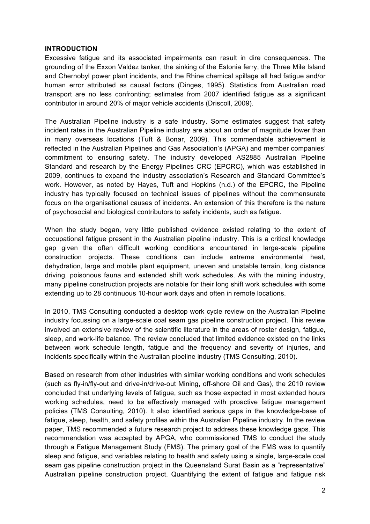#### **INTRODUCTION**

Excessive fatigue and its associated impairments can result in dire consequences. The grounding of the Exxon Valdez tanker, the sinking of the Estonia ferry, the Three Mile Island and Chernobyl power plant incidents, and the Rhine chemical spillage all had fatigue and/or human error attributed as causal factors (Dinges, 1995). Statistics from Australian road transport are no less confronting; estimates from 2007 identified fatigue as a significant contributor in around 20% of major vehicle accidents (Driscoll, 2009).

The Australian Pipeline industry is a safe industry. Some estimates suggest that safety incident rates in the Australian Pipeline industry are about an order of magnitude lower than in many overseas locations (Tuft & Bonar, 2009). This commendable achievement is reflected in the Australian Pipelines and Gas Association's (APGA) and member companies' commitment to ensuring safety. The industry developed AS2885 Australian Pipeline Standard and research by the Energy Pipelines CRC (EPCRC), which was established in 2009, continues to expand the industry association's Research and Standard Committee's work. However, as noted by Hayes, Tuft and Hopkins (n.d.) of the EPCRC, the Pipeline industry has typically focused on technical issues of pipelines without the commensurate focus on the organisational causes of incidents. An extension of this therefore is the nature of psychosocial and biological contributors to safety incidents, such as fatigue.

When the study began, very little published evidence existed relating to the extent of occupational fatigue present in the Australian pipeline industry. This is a critical knowledge gap given the often difficult working conditions encountered in large-scale pipeline construction projects. These conditions can include extreme environmental heat, dehydration, large and mobile plant equipment, uneven and unstable terrain, long distance driving, poisonous fauna and extended shift work schedules. As with the mining industry, many pipeline construction projects are notable for their long shift work schedules with some extending up to 28 continuous 10-hour work days and often in remote locations.

In 2010, TMS Consulting conducted a desktop work cycle review on the Australian Pipeline industry focussing on a large-scale coal seam gas pipeline construction project. This review involved an extensive review of the scientific literature in the areas of roster design, fatigue, sleep, and work-life balance. The review concluded that limited evidence existed on the links between work schedule length, fatigue and the frequency and severity of injuries, and incidents specifically within the Australian pipeline industry (TMS Consulting, 2010).

Based on research from other industries with similar working conditions and work schedules (such as fly-in/fly-out and drive-in/drive-out Mining, off-shore Oil and Gas), the 2010 review concluded that underlying levels of fatigue, such as those expected in most extended hours working schedules, need to be effectively managed with proactive fatigue management policies (TMS Consulting, 2010). It also identified serious gaps in the knowledge-base of fatigue, sleep, health, and safety profiles within the Australian Pipeline industry. In the review paper, TMS recommended a future research project to address these knowledge gaps. This recommendation was accepted by APGA, who commissioned TMS to conduct the study through a Fatigue Management Study (FMS). The primary goal of the FMS was to quantify sleep and fatigue, and variables relating to health and safety using a single, large-scale coal seam gas pipeline construction project in the Queensland Surat Basin as a "representative" Australian pipeline construction project. Quantifying the extent of fatigue and fatigue risk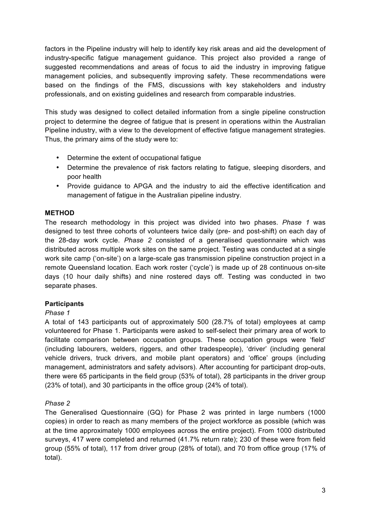factors in the Pipeline industry will help to identify key risk areas and aid the development of industry-specific fatigue management guidance. This project also provided a range of suggested recommendations and areas of focus to aid the industry in improving fatigue management policies, and subsequently improving safety. These recommendations were based on the findings of the FMS, discussions with key stakeholders and industry professionals, and on existing guidelines and research from comparable industries.

This study was designed to collect detailed information from a single pipeline construction project to determine the degree of fatigue that is present in operations within the Australian Pipeline industry, with a view to the development of effective fatigue management strategies. Thus, the primary aims of the study were to:

- Determine the extent of occupational fatigue
- Determine the prevalence of risk factors relating to fatigue, sleeping disorders, and poor health
- Provide guidance to APGA and the industry to aid the effective identification and management of fatigue in the Australian pipeline industry.

## **METHOD**

The research methodology in this project was divided into two phases. *Phase 1* was designed to test three cohorts of volunteers twice daily (pre- and post-shift) on each day of the 28-day work cycle. *Phase 2* consisted of a generalised questionnaire which was distributed across multiple work sites on the same project. Testing was conducted at a single work site camp ('on-site') on a large-scale gas transmission pipeline construction project in a remote Queensland location. Each work roster ('cycle') is made up of 28 continuous on-site days (10 hour daily shifts) and nine rostered days off. Testing was conducted in two separate phases.

## **Participants**

## *Phase 1*

A total of 143 participants out of approximately 500 (28.7% of total) employees at camp volunteered for Phase 1. Participants were asked to self-select their primary area of work to facilitate comparison between occupation groups. These occupation groups were 'field' (including labourers, welders, riggers, and other tradespeople), 'driver' (including general vehicle drivers, truck drivers, and mobile plant operators) and 'office' groups (including management, administrators and safety advisors). After accounting for participant drop-outs, there were 65 participants in the field group (53% of total), 28 participants in the driver group (23% of total), and 30 participants in the office group (24% of total).

## *Phase 2*

The Generalised Questionnaire (GQ) for Phase 2 was printed in large numbers (1000 copies) in order to reach as many members of the project workforce as possible (which was at the time approximately 1000 employees across the entire project). From 1000 distributed surveys, 417 were completed and returned (41.7% return rate); 230 of these were from field group (55% of total), 117 from driver group (28% of total), and 70 from office group (17% of total).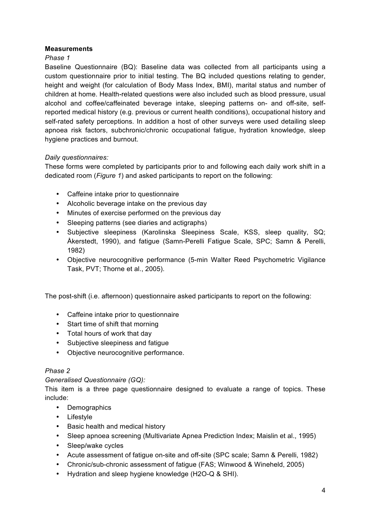## **Measurements**

## *Phase 1*

Baseline Questionnaire (BQ): Baseline data was collected from all participants using a custom questionnaire prior to initial testing. The BQ included questions relating to gender, height and weight (for calculation of Body Mass Index, BMI), marital status and number of children at home. Health-related questions were also included such as blood pressure, usual alcohol and coffee/caffeinated beverage intake, sleeping patterns on- and off-site, selfreported medical history (e.g. previous or current health conditions), occupational history and self-rated safety perceptions. In addition a host of other surveys were used detailing sleep apnoea risk factors, subchronic/chronic occupational fatigue, hydration knowledge, sleep hygiene practices and burnout.

## *Daily questionnaires:*

These forms were completed by participants prior to and following each daily work shift in a dedicated room (*Figure 1*) and asked participants to report on the following:

- Caffeine intake prior to questionnaire
- Alcoholic beverage intake on the previous day
- Minutes of exercise performed on the previous day
- Sleeping patterns (see diaries and actigraphs)
- Subjective sleepiness (Karolinska Sleepiness Scale, KSS, sleep quality, SQ; Åkerstedt, 1990), and fatigue (Samn-Perelli Fatigue Scale, SPC; Samn & Perelli, 1982)
- Objective neurocognitive performance (5-min Walter Reed Psychometric Vigilance Task, PVT; Thorne et al., 2005).

The post-shift (i.e. afternoon) questionnaire asked participants to report on the following:

- Caffeine intake prior to questionnaire
- Start time of shift that morning
- Total hours of work that day
- Subjective sleepiness and fatigue
- Objective neurocognitive performance.

## *Phase 2*

## *Generalised Questionnaire (GQ):*

This item is a three page questionnaire designed to evaluate a range of topics. These include:

- Demographics
- Lifestyle
- Basic health and medical history
- Sleep apnoea screening (Multivariate Apnea Prediction Index; Maislin et al., 1995)
- Sleep/wake cycles
- Acute assessment of fatigue on-site and off-site (SPC scale; Samn & Perelli, 1982)
- Chronic/sub-chronic assessment of fatigue (FAS; Winwood & Wineheld, 2005)
- Hydration and sleep hygiene knowledge (H2O-Q & SHI).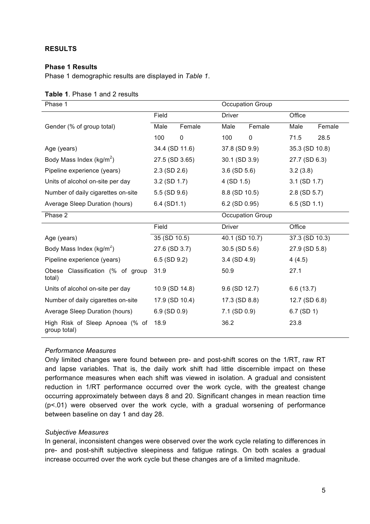## **RESULTS**

## **Phase 1 Results**

Phase 1 demographic results are displayed in *Table 1*.

| Phase 1                                         |                   |        | Occupation Group  |             |                   |        |  |
|-------------------------------------------------|-------------------|--------|-------------------|-------------|-------------------|--------|--|
|                                                 | Field             |        | <b>Driver</b>     |             | Office            |        |  |
| Gender (% of group total)                       | Male              | Female | Male              | Female      | Male              | Female |  |
|                                                 | 100               | 0      | 100               | $\mathbf 0$ | 71.5              | 28.5   |  |
| Age (years)                                     | 34.4 (SD 11.6)    |        | 37.8 (SD 9.9)     |             | 35.3 (SD 10.8)    |        |  |
| Body Mass Index ( $kg/m^2$ )                    | 27.5 (SD 3.65)    |        | 30.1 (SD 3.9)     |             | 27.7 (SD 6.3)     |        |  |
| Pipeline experience (years)                     | $2.3$ (SD $2.6$ ) |        | $3.6$ (SD $5.6$ ) |             | 3.2(3.8)          |        |  |
| Units of alcohol on-site per day                | $3.2$ (SD 1.7)    |        | 4 (SD 1.5)        |             | $3.1$ (SD $1.7$ ) |        |  |
| Number of daily cigarettes on-site              | 5.5 (SD 9.6)      |        | 8.8 (SD 10.5)     |             | 2.8 (SD 5.7)      |        |  |
| Average Sleep Duration (hours)                  | $6.4$ (SD1.1)     |        | 6.2 (SD 0.95)     |             | $6.5$ (SD 1.1)    |        |  |
| Phase 2                                         |                   |        | Occupation Group  |             |                   |        |  |
|                                                 | Field             |        | <b>Driver</b>     |             | Office            |        |  |
| Age (years)                                     | 35 (SD 10.5)      |        | 40.1 (SD 10.7)    |             | 37.3 (SD 10.3)    |        |  |
| Body Mass Index (kg/m <sup>2</sup> )            | 27.6 (SD 3.7)     |        | 30.5 (SD 5.6)     |             | 27.9 (SD 5.8)     |        |  |
| Pipeline experience (years)                     | $6.5$ (SD $9.2$ ) |        | $3.4$ (SD 4.9)    |             | 4(4.5)            |        |  |
| Obese Classification (% of group<br>total)      | 31.9              |        | 50.9              |             | 27.1              |        |  |
| Units of alcohol on-site per day                | 10.9 (SD 14.8)    |        | 9.6 (SD 12.7)     |             | 6.6(13.7)         |        |  |
| Number of daily cigarettes on-site              | 17.9 (SD 10.4)    |        | 17.3 (SD 8.8)     |             | 12.7 (SD 6.8)     |        |  |
| Average Sleep Duration (hours)                  | $6.9$ (SD 0.9)    |        | 7.1 (SD 0.9)      |             | $6.7$ (SD 1)      |        |  |
| High Risk of Sleep Apnoea (% of<br>group total) | 18.9              |        | 36.2              |             | 23.8              |        |  |

#### **Table 1**. Phase 1 and 2 results

#### *Performance Measures*

Only limited changes were found between pre- and post-shift scores on the 1/RT, raw RT and lapse variables. That is, the daily work shift had little discernible impact on these performance measures when each shift was viewed in isolation. A gradual and consistent reduction in 1/RT performance occurred over the work cycle, with the greatest change occurring approximately between days 8 and 20. Significant changes in mean reaction time (p<.01) were observed over the work cycle, with a gradual worsening of performance between baseline on day 1 and day 28.

## *Subjective Measures*

In general, inconsistent changes were observed over the work cycle relating to differences in pre- and post-shift subjective sleepiness and fatigue ratings. On both scales a gradual increase occurred over the work cycle but these changes are of a limited magnitude.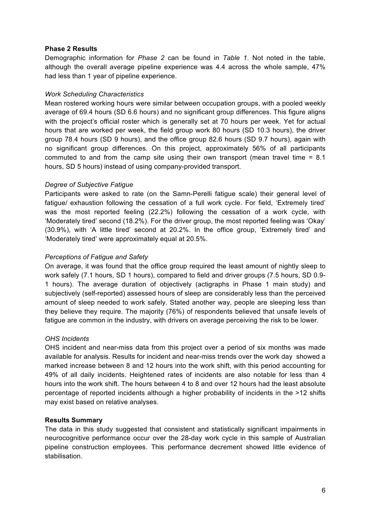## **Phase 2 Results**

Demographic information for *Phase 2* can be found in *Table 1*. Not noted in the table, although the overall average pipeline experience was 4.4 across the whole sample, 47% had less than 1 year of pipeline experience.

### *Work Scheduling Characteristics*

Mean rostered working hours were similar between occupation groups, with a pooled weekly average of 69.4 hours (SD 6.6 hours) and no significant group differences. This figure aligns with the project's official roster which is generally set at 70 hours per week. Yet for actual hours that are worked per week, the field group work 80 hours (SD 10.3 hours), the driver group 78.4 hours (SD 9 hours), and the office group 82.6 hours (SD 9.7 hours), again with no significant group differences. On this project, approximately 56% of all participants commuted to and from the camp site using their own transport (mean travel time = 8.1 hours, SD 5 hours) instead of using company-provided transport.

## *Degree of Subjective Fatigue*

Participants were asked to rate (on the Samn-Perelli fatigue scale) their general level of fatigue/ exhaustion following the cessation of a full work cycle. For field, 'Extremely tired' was the most reported feeling (22.2%) following the cessation of a work cycle, with 'Moderately tired' second (18.2%). For the driver group, the most reported feeling was 'Okay' (30.9%), with 'A little tired' second at 20.2%. In the office group, 'Extremely tired' and 'Moderately tired' were approximately equal at 20.5%.

## *Perceptions of Fatigue and Safety*

On average, it was found that the office group required the least amount of nightly sleep to work safely (7.1 hours, SD 1 hours), compared to field and driver groups (7.5 hours, SD 0.9- 1 hours). The average duration of objectively (actigraphs in Phase 1 main study) and subjectively (self-reported) assessed hours of sleep are considerably less than the perceived amount of sleep needed to work safely. Stated another way, people are sleeping less than they believe they require. The majority (76%) of respondents believed that unsafe levels of fatigue are common in the industry, with drivers on average perceiving the risk to be lower.

## *OHS Incidents*

OHS incident and near-miss data from this project over a period of six months was made available for analysis. Results for incident and near-miss trends over the work day showed a marked increase between 8 and 12 hours into the work shift, with this period accounting for 49% of all daily incidents. Heightened rates of incidents are also notable for less than 4 hours into the work shift. The hours between 4 to 8 and over 12 hours had the least absolute percentage of reported incidents although a higher probability of incidents in the >12 shifts may exist based on relative analyses.

## **Results Summary**

The data in this study suggested that consistent and statistically significant impairments in neurocognitive performance occur over the 28-day work cycle in this sample of Australian pipeline construction employees. This performance decrement showed little evidence of stabilisation.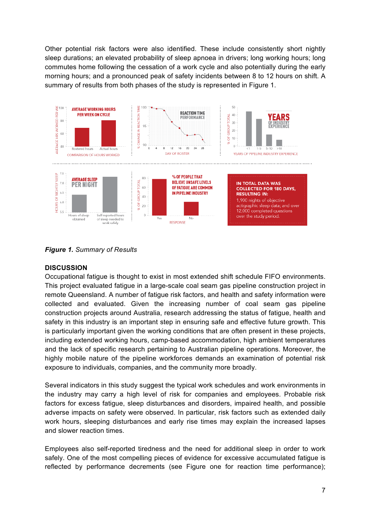Other potential risk factors were also identified. These include consistently short nightly sleep durations; an elevated probability of sleep apnoea in drivers; long working hours; long commutes home following the cessation of a work cycle and also potentially during the early morning hours; and a pronounced peak of safety incidents between 8 to 12 hours on shift. A summary of results from both phases of the study is represented in Figure 1.



*Figure 1. Summary of Results*

## **DISCUSSION**

Occupational fatigue is thought to exist in most extended shift schedule FIFO environments. This project evaluated fatigue in a large-scale coal seam gas pipeline construction project in remote Queensland. A number of fatigue risk factors, and health and safety information were collected and evaluated. Given the increasing number of coal seam gas pipeline construction projects around Australia, research addressing the status of fatigue, health and safety in this industry is an important step in ensuring safe and effective future growth. This is particularly important given the working conditions that are often present in these projects, including extended working hours, camp-based accommodation, high ambient temperatures and the lack of specific research pertaining to Australian pipeline operations. Moreover, the highly mobile nature of the pipeline workforces demands an examination of potential risk exposure to individuals, companies, and the community more broadly.

Several indicators in this study suggest the typical work schedules and work environments in the industry may carry a high level of risk for companies and employees. Probable risk factors for excess fatigue, sleep disturbances and disorders, impaired health, and possible adverse impacts on safety were observed. In particular, risk factors such as extended daily work hours, sleeping disturbances and early rise times may explain the increased lapses and slower reaction times.

Employees also self-reported tiredness and the need for additional sleep in order to work safely. One of the most compelling pieces of evidence for excessive accumulated fatigue is reflected by performance decrements (see Figure one for reaction time performance);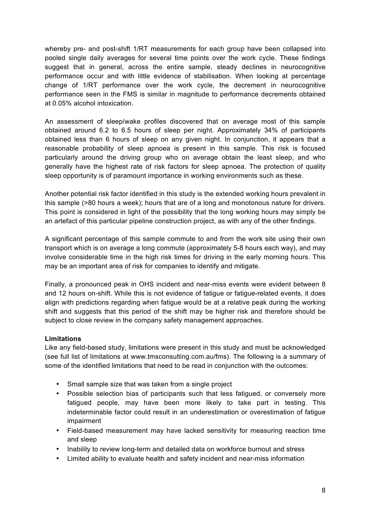whereby pre- and post-shift 1/RT measurements for each group have been collapsed into pooled single daily averages for several time points over the work cycle. These findings suggest that in general, across the entire sample, steady declines in neurocognitive performance occur and with little evidence of stabilisation. When looking at percentage change of 1/RT performance over the work cycle, the decrement in neurocognitive performance seen in the FMS is similar in magnitude to performance decrements obtained at 0.05% alcohol intoxication.

An assessment of sleep/wake profiles discovered that on average most of this sample obtained around 6.2 to 6.5 hours of sleep per night. Approximately 34% of participants obtained less than 6 hours of sleep on any given night. In conjunction, it appears that a reasonable probability of sleep apnoea is present in this sample. This risk is focused particularly around the driving group who on average obtain the least sleep, and who generally have the highest rate of risk factors for sleep apnoea. The protection of quality sleep opportunity is of paramount importance in working environments such as these.

Another potential risk factor identified in this study is the extended working hours prevalent in this sample (>80 hours a week); hours that are of a long and monotonous nature for drivers. This point is considered in light of the possibility that the long working hours may simply be an artefact of this particular pipeline construction project, as with any of the other findings.

A significant percentage of this sample commute to and from the work site using their own transport which is on average a long commute (approximately 5-8 hours each way), and may involve considerable time in the high risk times for driving in the early morning hours. This may be an important area of risk for companies to identify and mitigate.

Finally, a pronounced peak in OHS incident and near-miss events were evident between 8 and 12 hours on-shift. While this is not evidence of fatigue or fatigue-related events, it does align with predictions regarding when fatigue would be at a relative peak during the working shift and suggests that this period of the shift may be higher risk and therefore should be subject to close review in the company safety management approaches.

## **Limitations**

Like any field-based study, limitations were present in this study and must be acknowledged (see full list of limitations at www.tmsconsulting.com.au/fms). The following is a summary of some of the identified limitations that need to be read in conjunction with the outcomes:

- Small sample size that was taken from a single project
- Possible selection bias of participants such that less fatigued, or conversely more fatigued people, may have been more likely to take part in testing. This indeterminable factor could result in an underestimation or overestimation of fatigue impairment
- Field-based measurement may have lacked sensitivity for measuring reaction time and sleep
- Inability to review long-term and detailed data on workforce burnout and stress
- Limited ability to evaluate health and safety incident and near-miss information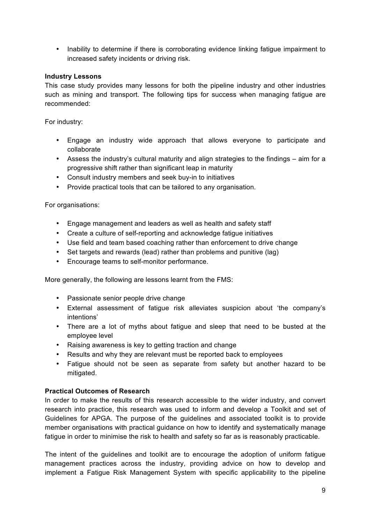• Inability to determine if there is corroborating evidence linking fatigue impairment to increased safety incidents or driving risk.

## **Industry Lessons**

This case study provides many lessons for both the pipeline industry and other industries such as mining and transport. The following tips for success when managing fatigue are recommended:

For industry:

- Engage an industry wide approach that allows everyone to participate and collaborate
- Assess the industry's cultural maturity and align strategies to the findings aim for a progressive shift rather than significant leap in maturity
- Consult industry members and seek buy-in to initiatives
- Provide practical tools that can be tailored to any organisation.

For organisations:

- Engage management and leaders as well as health and safety staff
- Create a culture of self-reporting and acknowledge fatigue initiatives
- Use field and team based coaching rather than enforcement to drive change
- Set targets and rewards (lead) rather than problems and punitive (lag)
- Encourage teams to self-monitor performance.

More generally, the following are lessons learnt from the FMS:

- Passionate senior people drive change
- External assessment of fatigue risk alleviates suspicion about 'the company's intentions'
- There are a lot of myths about fatigue and sleep that need to be busted at the employee level
- Raising awareness is key to getting traction and change
- Results and why they are relevant must be reported back to employees
- Fatigue should not be seen as separate from safety but another hazard to be mitigated.

## **Practical Outcomes of Research**

In order to make the results of this research accessible to the wider industry, and convert research into practice, this research was used to inform and develop a Toolkit and set of Guidelines for APGA. The purpose of the guidelines and associated toolkit is to provide member organisations with practical guidance on how to identify and systematically manage fatigue in order to minimise the risk to health and safety so far as is reasonably practicable.

The intent of the guidelines and toolkit are to encourage the adoption of uniform fatigue management practices across the industry, providing advice on how to develop and implement a Fatigue Risk Management System with specific applicability to the pipeline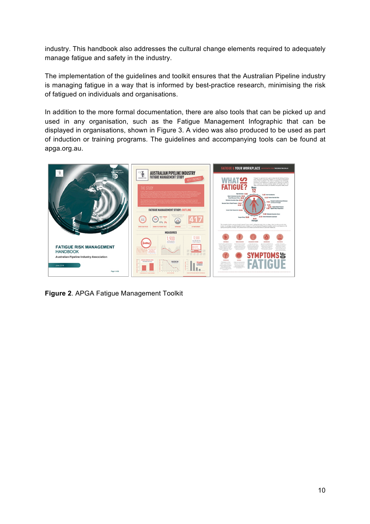industry. This handbook also addresses the cultural change elements required to adequately manage fatigue and safety in the industry.

The implementation of the guidelines and toolkit ensures that the Australian Pipeline industry is managing fatigue in a way that is informed by best-practice research, minimising the risk of fatigued on individuals and organisations.

In addition to the more formal documentation, there are also tools that can be picked up and used in any organisation, such as the Fatigue Management Infographic that can be displayed in organisations, shown in Figure 3. A video was also produced to be used as part of induction or training programs. The guidelines and accompanying tools can be found at apga.org.au.



**Figure 2**. APGA Fatigue Management Toolkit